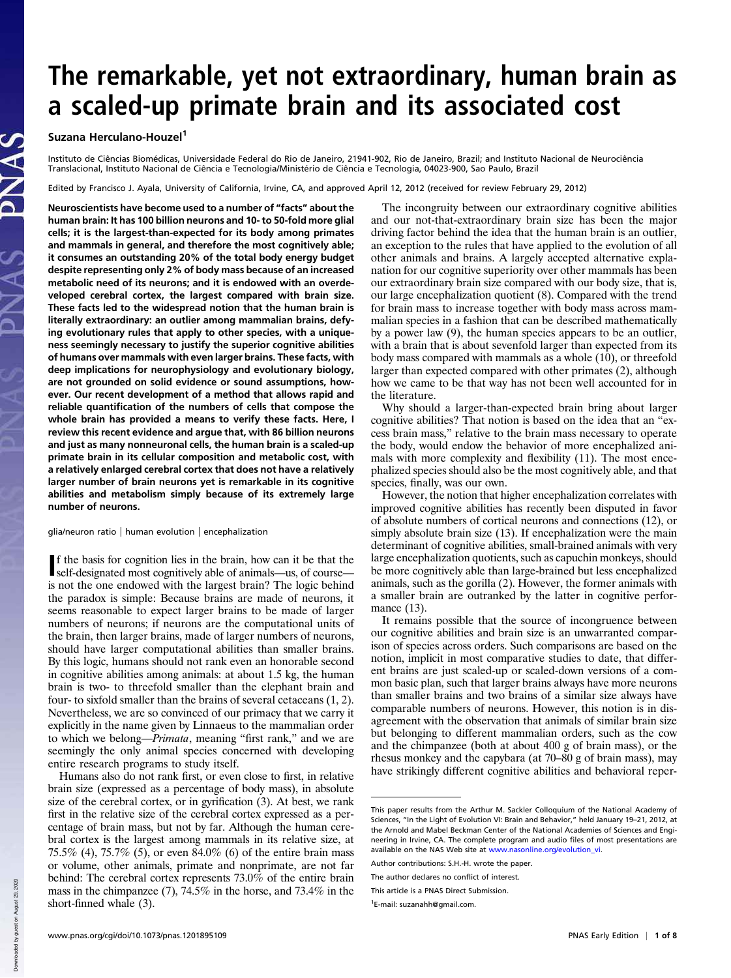# The remarkable, yet not extraordinary, human brain as a scaled-up primate brain and its associated cost

# Suzana Herculano-Houzel<sup>1</sup>

Instituto de Ciências Biomédicas, Universidade Federal do Rio de Janeiro, 21941-902, Rio de Janeiro, Brazil; and Instituto Nacional de Neurociência Translacional, Instituto Nacional de Ciência e Tecnologia/Ministério de Ciência e Tecnologia, 04023-900, Sao Paulo, Brazil

Edited by Francisco J. Ayala, University of California, Irvine, CA, and approved April 12, 2012 (received for review February 29, 2012)

Neuroscientists have become used to a number of "facts" about the human brain: It has 100 billion neurons and 10- to 50-fold more glial cells; it is the largest-than-expected for its body among primates and mammals in general, and therefore the most cognitively able; it consumes an outstanding 20% of the total body energy budget despite representing only 2% of body mass because of an increased metabolic need of its neurons; and it is endowed with an overdeveloped cerebral cortex, the largest compared with brain size. These facts led to the widespread notion that the human brain is literally extraordinary: an outlier among mammalian brains, defying evolutionary rules that apply to other species, with a uniqueness seemingly necessary to justify the superior cognitive abilities of humans over mammals with even larger brains. These facts, with deep implications for neurophysiology and evolutionary biology, are not grounded on solid evidence or sound assumptions, however. Our recent development of a method that allows rapid and reliable quantification of the numbers of cells that compose the whole brain has provided a means to verify these facts. Here, I review this recent evidence and argue that, with 86 billion neurons and just as many nonneuronal cells, the human brain is a scaled-up primate brain in its cellular composition and metabolic cost, with a relatively enlarged cerebral cortex that does not have a relatively larger number of brain neurons yet is remarkable in its cognitive abilities and metabolism simply because of its extremely large number of neurons.

glia/neuron ratio | human evolution | encephalization

I f the basis for cognition lies in the brain, how can it be that the self-designated most cognitively able of animals—us, of course is not the one endowed with the largest brain? The logic behind the paradox is simple: Because brains are made of neurons, it seems reasonable to expect larger brains to be made of larger numbers of neurons; if neurons are the computational units of the brain, then larger brains, made of larger numbers of neurons, should have larger computational abilities than smaller brains. By this logic, humans should not rank even an honorable second in cognitive abilities among animals: at about 1.5 kg, the human brain is two- to threefold smaller than the elephant brain and four- to sixfold smaller than the brains of several cetaceans (1, 2). Nevertheless, we are so convinced of our primacy that we carry it explicitly in the name given by Linnaeus to the mammalian order to which we belong—Primata, meaning "first rank," and we are seemingly the only animal species concerned with developing entire research programs to study itself.

Humans also do not rank first, or even close to first, in relative brain size (expressed as a percentage of body mass), in absolute size of the cerebral cortex, or in gyrification (3). At best, we rank first in the relative size of the cerebral cortex expressed as a percentage of brain mass, but not by far. Although the human cerebral cortex is the largest among mammals in its relative size, at 75.5% (4), 75.7% (5), or even 84.0% (6) of the entire brain mass or volume, other animals, primate and nonprimate, are not far behind: The cerebral cortex represents 73.0% of the entire brain mass in the chimpanzee (7), 74.5% in the horse, and 73.4% in the short-finned whale (3).

The incongruity between our extraordinary cognitive abilities and our not-that-extraordinary brain size has been the major driving factor behind the idea that the human brain is an outlier, an exception to the rules that have applied to the evolution of all other animals and brains. A largely accepted alternative explanation for our cognitive superiority over other mammals has been our extraordinary brain size compared with our body size, that is, our large encephalization quotient (8). Compared with the trend for brain mass to increase together with body mass across mammalian species in a fashion that can be described mathematically by a power law (9), the human species appears to be an outlier, with a brain that is about sevenfold larger than expected from its body mass compared with mammals as a whole (10), or threefold larger than expected compared with other primates (2), although how we came to be that way has not been well accounted for in the literature.

Why should a larger-than-expected brain bring about larger cognitive abilities? That notion is based on the idea that an "excess brain mass," relative to the brain mass necessary to operate the body, would endow the behavior of more encephalized animals with more complexity and flexibility (11). The most encephalized species should also be the most cognitively able, and that species, finally, was our own.

However, the notion that higher encephalization correlates with improved cognitive abilities has recently been disputed in favor of absolute numbers of cortical neurons and connections (12), or simply absolute brain size (13). If encephalization were the main determinant of cognitive abilities, small-brained animals with very large encephalization quotients, such as capuchin monkeys, should be more cognitively able than large-brained but less encephalized animals, such as the gorilla (2). However, the former animals with a smaller brain are outranked by the latter in cognitive performance (13).

It remains possible that the source of incongruence between our cognitive abilities and brain size is an unwarranted comparison of species across orders. Such comparisons are based on the notion, implicit in most comparative studies to date, that different brains are just scaled-up or scaled-down versions of a common basic plan, such that larger brains always have more neurons than smaller brains and two brains of a similar size always have comparable numbers of neurons. However, this notion is in disagreement with the observation that animals of similar brain size but belonging to different mammalian orders, such as the cow and the chimpanzee (both at about 400 g of brain mass), or the rhesus monkey and the capybara (at 70–80 g of brain mass), may have strikingly different cognitive abilities and behavioral reper-

This paper results from the Arthur M. Sackler Colloquium of the National Academy of Sciences, "In the Light of Evolution VI: Brain and Behavior," held January 19–21, 2012, at the Arnold and Mabel Beckman Center of the National Academies of Sciences and Engineering in Irvine, CA. The complete program and audio files of most presentations are available on the NAS Web site at www.nasonline.org/evolution\_vi.

Author contributions: S.H.-H. wrote the paper.

The author declares no conflict of interest.

This article is a PNAS Direct Submission.

<sup>1</sup> E-mail: suzanahh@gmail.com.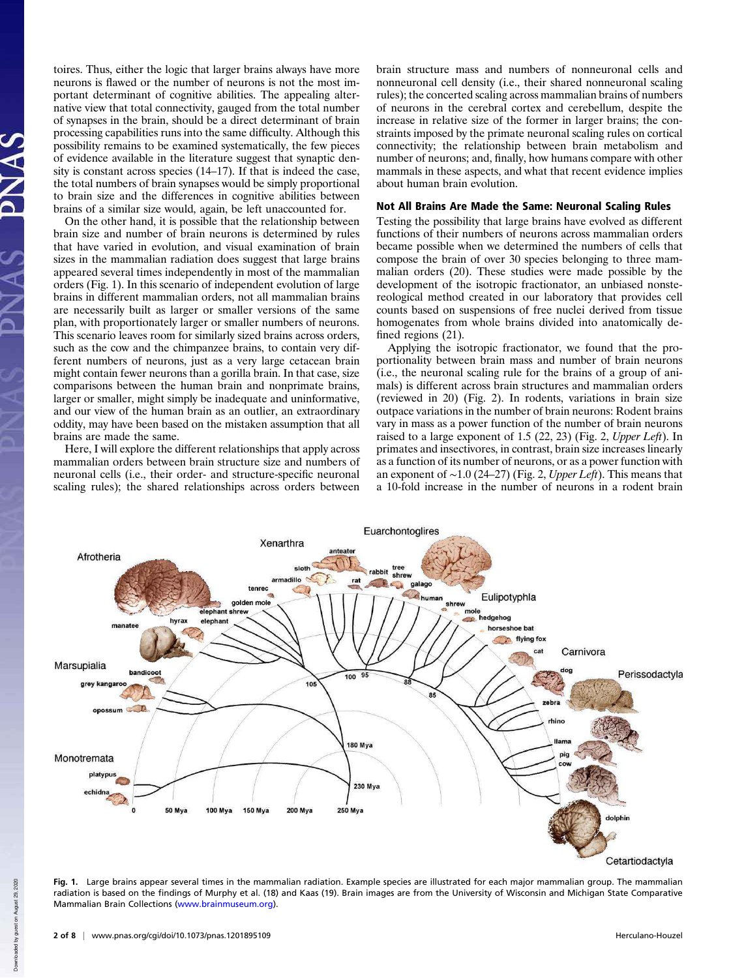toires. Thus, either the logic that larger brains always have more neurons is flawed or the number of neurons is not the most important determinant of cognitive abilities. The appealing alternative view that total connectivity, gauged from the total number of synapses in the brain, should be a direct determinant of brain processing capabilities runs into the same difficulty. Although this possibility remains to be examined systematically, the few pieces of evidence available in the literature suggest that synaptic density is constant across species (14–17). If that is indeed the case, the total numbers of brain synapses would be simply proportional to brain size and the differences in cognitive abilities between brains of a similar size would, again, be left unaccounted for.

On the other hand, it is possible that the relationship between brain size and number of brain neurons is determined by rules that have varied in evolution, and visual examination of brain sizes in the mammalian radiation does suggest that large brains appeared several times independently in most of the mammalian orders (Fig. 1). In this scenario of independent evolution of large brains in different mammalian orders, not all mammalian brains are necessarily built as larger or smaller versions of the same plan, with proportionately larger or smaller numbers of neurons. This scenario leaves room for similarly sized brains across orders, such as the cow and the chimpanzee brains, to contain very different numbers of neurons, just as a very large cetacean brain might contain fewer neurons than a gorilla brain. In that case, size comparisons between the human brain and nonprimate brains, larger or smaller, might simply be inadequate and uninformative, and our view of the human brain as an outlier, an extraordinary oddity, may have been based on the mistaken assumption that all brains are made the same.

Here, I will explore the different relationships that apply across mammalian orders between brain structure size and numbers of neuronal cells (i.e., their order- and structure-specific neuronal scaling rules); the shared relationships across orders between brain structure mass and numbers of nonneuronal cells and nonneuronal cell density (i.e., their shared nonneuronal scaling rules); the concerted scaling across mammalian brains of numbers of neurons in the cerebral cortex and cerebellum, despite the increase in relative size of the former in larger brains; the constraints imposed by the primate neuronal scaling rules on cortical connectivity; the relationship between brain metabolism and number of neurons; and, finally, how humans compare with other mammals in these aspects, and what that recent evidence implies about human brain evolution.

## Not All Brains Are Made the Same: Neuronal Scaling Rules

Testing the possibility that large brains have evolved as different functions of their numbers of neurons across mammalian orders became possible when we determined the numbers of cells that compose the brain of over 30 species belonging to three mammalian orders (20). These studies were made possible by the development of the isotropic fractionator, an unbiased nonstereological method created in our laboratory that provides cell counts based on suspensions of free nuclei derived from tissue homogenates from whole brains divided into anatomically defined regions  $(21)$ .

Applying the isotropic fractionator, we found that the proportionality between brain mass and number of brain neurons (i.e., the neuronal scaling rule for the brains of a group of animals) is different across brain structures and mammalian orders (reviewed in 20) (Fig. 2). In rodents, variations in brain size outpace variations in the number of brain neurons: Rodent brains vary in mass as a power function of the number of brain neurons raised to a large exponent of 1.5 (22, 23) (Fig. 2, Upper Left). In primates and insectivores, in contrast, brain size increases linearly as a function of its number of neurons, or as a power function with an exponent of ∼1.0 (24–27) (Fig. 2, Upper Left). This means that a 10-fold increase in the number of neurons in a rodent brain



Fig. 1. Large brains appear several times in the mammalian radiation. Example species are illustrated for each major mammalian group. The mammalian radiation is based on the findings of Murphy et al. (18) and Kaas (19). Brain images are from the University of Wisconsin and Michigan State Comparative Mammalian Brain Collections (www.brainmuseum.org).

Down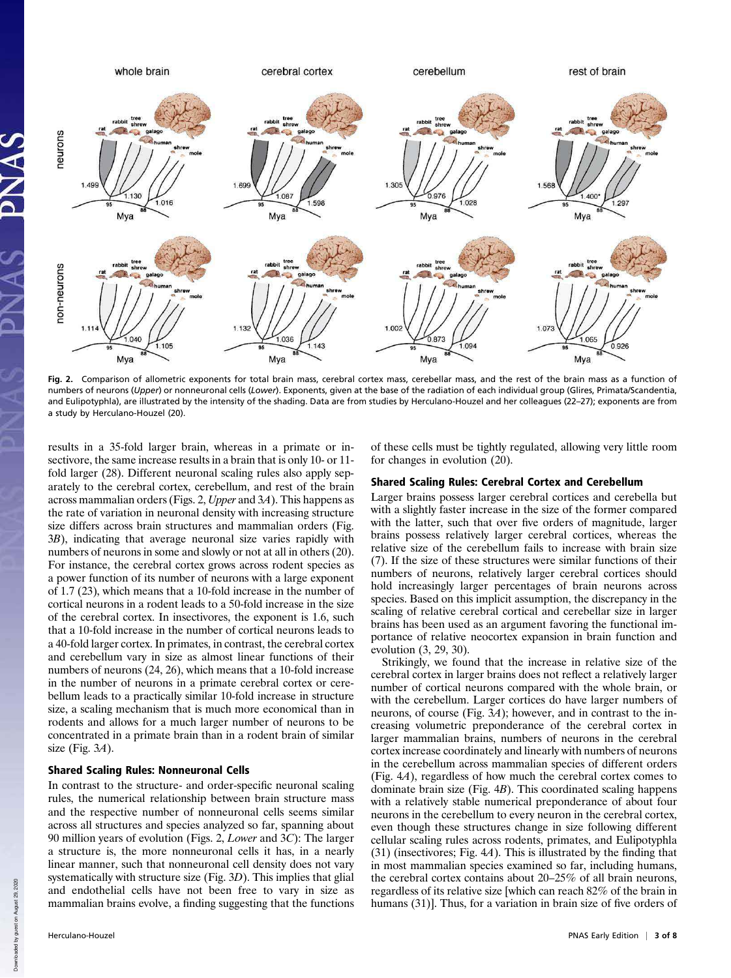

Fig. 2. Comparison of allometric exponents for total brain mass, cerebral cortex mass, cerebellar mass, and the rest of the brain mass as a function of numbers of neurons (Upper) or nonneuronal cells (Lower). Exponents, given at the base of the radiation of each individual group (Glires, Primata/Scandentia, and Eulipotyphla), are illustrated by the intensity of the shading. Data are from studies by Herculano-Houzel and her colleagues (22–27); exponents are from a study by Herculano-Houzel (20).

results in a 35-fold larger brain, whereas in a primate or insectivore, the same increase results in a brain that is only 10- or 11 fold larger (28). Different neuronal scaling rules also apply separately to the cerebral cortex, cerebellum, and rest of the brain across mammalian orders (Figs. 2, Upper and 3A). This happens as the rate of variation in neuronal density with increasing structure size differs across brain structures and mammalian orders (Fig. 3B), indicating that average neuronal size varies rapidly with numbers of neurons in some and slowly or not at all in others (20). For instance, the cerebral cortex grows across rodent species as a power function of its number of neurons with a large exponent of 1.7 (23), which means that a 10-fold increase in the number of cortical neurons in a rodent leads to a 50-fold increase in the size of the cerebral cortex. In insectivores, the exponent is 1.6, such that a 10-fold increase in the number of cortical neurons leads to a 40-fold larger cortex. In primates, in contrast, the cerebral cortex and cerebellum vary in size as almost linear functions of their numbers of neurons (24, 26), which means that a 10-fold increase in the number of neurons in a primate cerebral cortex or cerebellum leads to a practically similar 10-fold increase in structure size, a scaling mechanism that is much more economical than in rodents and allows for a much larger number of neurons to be concentrated in a primate brain than in a rodent brain of similar size (Fig. 3A).

### Shared Scaling Rules: Nonneuronal Cells

In contrast to the structure- and order-specific neuronal scaling rules, the numerical relationship between brain structure mass and the respective number of nonneuronal cells seems similar across all structures and species analyzed so far, spanning about 90 million years of evolution (Figs. 2, Lower and 3C): The larger a structure is, the more nonneuronal cells it has, in a nearly linear manner, such that nonneuronal cell density does not vary systematically with structure size (Fig. 3D). This implies that glial and endothelial cells have not been free to vary in size as mammalian brains evolve, a finding suggesting that the functions

## of these cells must be tightly regulated, allowing very little room for changes in evolution (20).

## Shared Scaling Rules: Cerebral Cortex and Cerebellum

Larger brains possess larger cerebral cortices and cerebella but with a slightly faster increase in the size of the former compared with the latter, such that over five orders of magnitude, larger brains possess relatively larger cerebral cortices, whereas the relative size of the cerebellum fails to increase with brain size (7). If the size of these structures were similar functions of their numbers of neurons, relatively larger cerebral cortices should hold increasingly larger percentages of brain neurons across species. Based on this implicit assumption, the discrepancy in the scaling of relative cerebral cortical and cerebellar size in larger brains has been used as an argument favoring the functional importance of relative neocortex expansion in brain function and evolution (3, 29, 30).

Strikingly, we found that the increase in relative size of the cerebral cortex in larger brains does not reflect a relatively larger number of cortical neurons compared with the whole brain, or with the cerebellum. Larger cortices do have larger numbers of neurons, of course (Fig. 3A); however, and in contrast to the increasing volumetric preponderance of the cerebral cortex in larger mammalian brains, numbers of neurons in the cerebral cortex increase coordinately and linearly with numbers of neurons in the cerebellum across mammalian species of different orders (Fig. 4A), regardless of how much the cerebral cortex comes to dominate brain size (Fig. 4B). This coordinated scaling happens with a relatively stable numerical preponderance of about four neurons in the cerebellum to every neuron in the cerebral cortex, even though these structures change in size following different cellular scaling rules across rodents, primates, and Eulipotyphla (31) (insectivores; Fig. 4A). This is illustrated by the finding that in most mammalian species examined so far, including humans, the cerebral cortex contains about 20–25% of all brain neurons, regardless of its relative size [which can reach 82% of the brain in humans (31)]. Thus, for a variation in brain size of five orders of

hwn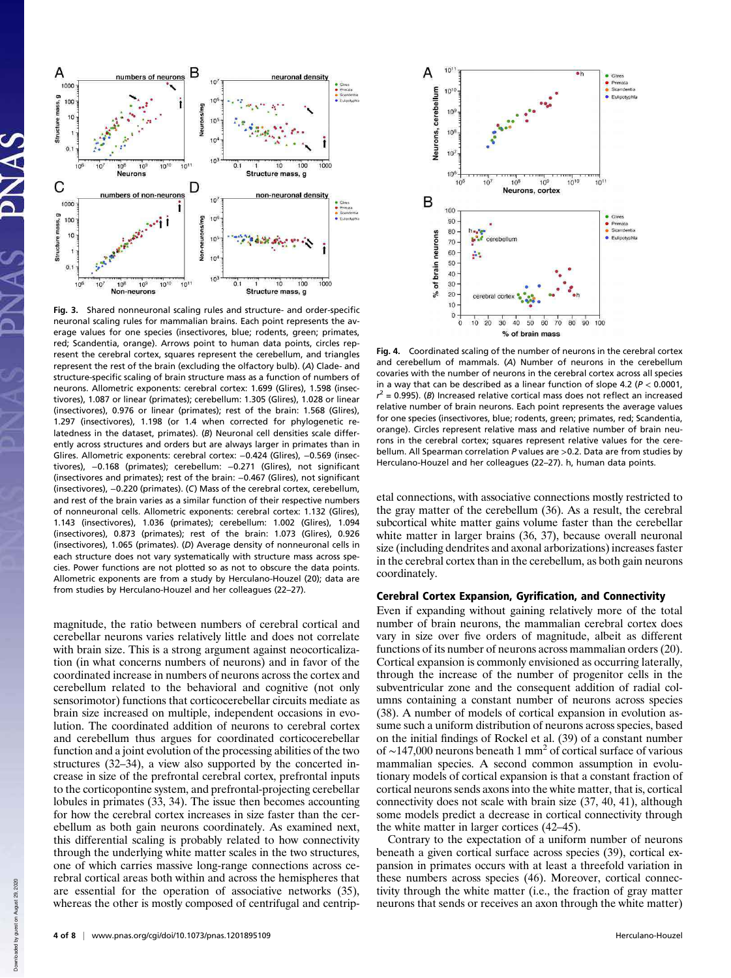

Fig. 3. Shared nonneuronal scaling rules and structure- and order-specific neuronal scaling rules for mammalian brains. Each point represents the average values for one species (insectivores, blue; rodents, green; primates, red; Scandentia, orange). Arrows point to human data points, circles represent the cerebral cortex, squares represent the cerebellum, and triangles represent the rest of the brain (excluding the olfactory bulb). (A) Clade- and structure-specific scaling of brain structure mass as a function of numbers of neurons. Allometric exponents: cerebral cortex: 1.699 (Glires), 1.598 (insectivores), 1.087 or linear (primates); cerebellum: 1.305 (Glires), 1.028 or linear (insectivores), 0.976 or linear (primates); rest of the brain: 1.568 (Glires), 1.297 (insectivores), 1.198 (or 1.4 when corrected for phylogenetic relatedness in the dataset, primates). (B) Neuronal cell densities scale differently across structures and orders but are always larger in primates than in Glires. Allometric exponents: cerebral cortex: −0.424 (Glires), −0.569 (insectivores), −0.168 (primates); cerebellum: −0.271 (Glires), not significant (insectivores and primates); rest of the brain: −0.467 (Glires), not significant (insectivores), −0.220 (primates). (C) Mass of the cerebral cortex, cerebellum, and rest of the brain varies as a similar function of their respective numbers of nonneuronal cells. Allometric exponents: cerebral cortex: 1.132 (Glires), 1.143 (insectivores), 1.036 (primates); cerebellum: 1.002 (Glires), 1.094 (insectivores), 0.873 (primates); rest of the brain: 1.073 (Glires), 0.926 (insectivores), 1.065 (primates). (D) Average density of nonneuronal cells in each structure does not vary systematically with structure mass across species. Power functions are not plotted so as not to obscure the data points. Allometric exponents are from a study by Herculano-Houzel (20); data are from studies by Herculano-Houzel and her colleagues (22–27).

magnitude, the ratio between numbers of cerebral cortical and cerebellar neurons varies relatively little and does not correlate with brain size. This is a strong argument against neocorticalization (in what concerns numbers of neurons) and in favor of the coordinated increase in numbers of neurons across the cortex and cerebellum related to the behavioral and cognitive (not only sensorimotor) functions that corticocerebellar circuits mediate as brain size increased on multiple, independent occasions in evolution. The coordinated addition of neurons to cerebral cortex and cerebellum thus argues for coordinated corticocerebellar function and a joint evolution of the processing abilities of the two structures (32–34), a view also supported by the concerted increase in size of the prefrontal cerebral cortex, prefrontal inputs to the corticopontine system, and prefrontal-projecting cerebellar lobules in primates (33, 34). The issue then becomes accounting for how the cerebral cortex increases in size faster than the cerebellum as both gain neurons coordinately. As examined next, this differential scaling is probably related to how connectivity through the underlying white matter scales in the two structures, one of which carries massive long-range connections across cerebral cortical areas both within and across the hemispheres that are essential for the operation of associative networks (35), whereas the other is mostly composed of centrifugal and centrip-



Fig. 4. Coordinated scaling of the number of neurons in the cerebral cortex and cerebellum of mammals. (A) Number of neurons in the cerebellum covaries with the number of neurons in the cerebral cortex across all species in a way that can be described as a linear function of slope 4.2 ( $P < 0.0001$ ,  $r^2$  = 0.995). (B) Increased relative cortical mass does not reflect an increased relative number of brain neurons. Each point represents the average values for one species (insectivores, blue; rodents, green; primates, red; Scandentia, orange). Circles represent relative mass and relative number of brain neurons in the cerebral cortex; squares represent relative values for the cerebellum. All Spearman correlation P values are >0.2. Data are from studies by Herculano-Houzel and her colleagues (22–27). h, human data points.

etal connections, with associative connections mostly restricted to the gray matter of the cerebellum (36). As a result, the cerebral subcortical white matter gains volume faster than the cerebellar white matter in larger brains (36, 37), because overall neuronal size (including dendrites and axonal arborizations) increases faster in the cerebral cortex than in the cerebellum, as both gain neurons coordinately.

# Cerebral Cortex Expansion, Gyrification, and Connectivity

Even if expanding without gaining relatively more of the total number of brain neurons, the mammalian cerebral cortex does vary in size over five orders of magnitude, albeit as different functions of its number of neurons across mammalian orders (20). Cortical expansion is commonly envisioned as occurring laterally, through the increase of the number of progenitor cells in the subventricular zone and the consequent addition of radial columns containing a constant number of neurons across species (38). A number of models of cortical expansion in evolution assume such a uniform distribution of neurons across species, based on the initial findings of Rockel et al. (39) of a constant number of ~147,000 neurons beneath 1 mm<sup>2</sup> of cortical surface of various mammalian species. A second common assumption in evolutionary models of cortical expansion is that a constant fraction of cortical neurons sends axons into the white matter, that is, cortical connectivity does not scale with brain size (37, 40, 41), although some models predict a decrease in cortical connectivity through the white matter in larger cortices (42–45).

Contrary to the expectation of a uniform number of neurons beneath a given cortical surface across species (39), cortical expansion in primates occurs with at least a threefold variation in these numbers across species (46). Moreover, cortical connectivity through the white matter (i.e., the fraction of gray matter neurons that sends or receives an axon through the white matter)

Downloaded by guest on August 29, 2020

loaded by guest on August 29,

Down

2020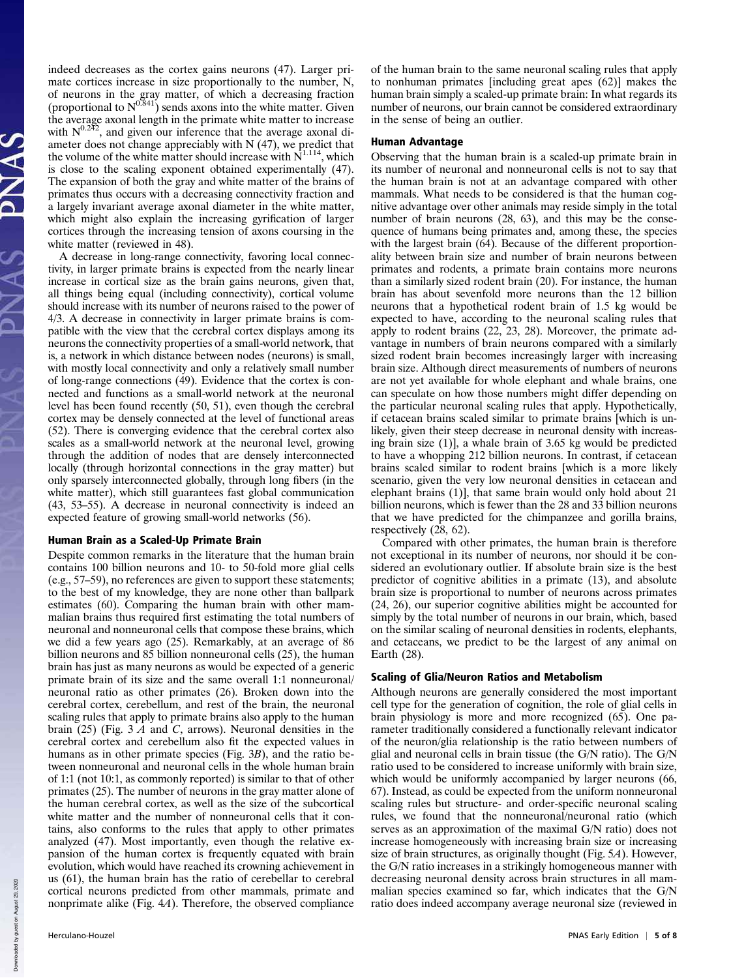indeed decreases as the cortex gains neurons (47). Larger primate cortices increase in size proportionally to the number, N, of neurons in the gray matter, of which a decreasing fraction (proportional to  $N^{0.841}$ ) sends axons into the white matter. Given the average axonal length in the primate white matter to increase with  $N^{0.242}$ , and given our inference that the average axonal diameter does not change appreciably with N (47), we predict that the volume of the white matter should increase with  $\dot{N}^{1.114}$ , which is close to the scaling exponent obtained experimentally (47). The expansion of both the gray and white matter of the brains of primates thus occurs with a decreasing connectivity fraction and a largely invariant average axonal diameter in the white matter, which might also explain the increasing gyrification of larger cortices through the increasing tension of axons coursing in the white matter (reviewed in 48).

A decrease in long-range connectivity, favoring local connectivity, in larger primate brains is expected from the nearly linear increase in cortical size as the brain gains neurons, given that, all things being equal (including connectivity), cortical volume should increase with its number of neurons raised to the power of 4/3. A decrease in connectivity in larger primate brains is compatible with the view that the cerebral cortex displays among its neurons the connectivity properties of a small-world network, that is, a network in which distance between nodes (neurons) is small, with mostly local connectivity and only a relatively small number of long-range connections (49). Evidence that the cortex is connected and functions as a small-world network at the neuronal level has been found recently (50, 51), even though the cerebral cortex may be densely connected at the level of functional areas (52). There is converging evidence that the cerebral cortex also scales as a small-world network at the neuronal level, growing through the addition of nodes that are densely interconnected locally (through horizontal connections in the gray matter) but only sparsely interconnected globally, through long fibers (in the white matter), which still guarantees fast global communication (43, 53–55). A decrease in neuronal connectivity is indeed an expected feature of growing small-world networks (56).

## Human Brain as a Scaled-Up Primate Brain

Despite common remarks in the literature that the human brain contains 100 billion neurons and 10- to 50-fold more glial cells (e.g., 57–59), no references are given to support these statements; to the best of my knowledge, they are none other than ballpark estimates (60). Comparing the human brain with other mammalian brains thus required first estimating the total numbers of neuronal and nonneuronal cells that compose these brains, which we did a few years ago (25). Remarkably, at an average of 86 billion neurons and 85 billion nonneuronal cells (25), the human brain has just as many neurons as would be expected of a generic primate brain of its size and the same overall 1:1 nonneuronal/ neuronal ratio as other primates (26). Broken down into the cerebral cortex, cerebellum, and rest of the brain, the neuronal scaling rules that apply to primate brains also apply to the human brain (25) (Fig. 3  $\AA$  and  $\AA$ , arrows). Neuronal densities in the cerebral cortex and cerebellum also fit the expected values in humans as in other primate species (Fig. 3B), and the ratio between nonneuronal and neuronal cells in the whole human brain of 1:1 (not 10:1, as commonly reported) is similar to that of other primates (25). The number of neurons in the gray matter alone of the human cerebral cortex, as well as the size of the subcortical white matter and the number of nonneuronal cells that it contains, also conforms to the rules that apply to other primates analyzed (47). Most importantly, even though the relative expansion of the human cortex is frequently equated with brain evolution, which would have reached its crowning achievement in us (61), the human brain has the ratio of cerebellar to cerebral cortical neurons predicted from other mammals, primate and nonprimate alike (Fig. 4A). Therefore, the observed compliance of the human brain to the same neuronal scaling rules that apply to nonhuman primates [including great apes (62)] makes the human brain simply a scaled-up primate brain: In what regards its number of neurons, our brain cannot be considered extraordinary in the sense of being an outlier.

## Human Advantage

Observing that the human brain is a scaled-up primate brain in its number of neuronal and nonneuronal cells is not to say that the human brain is not at an advantage compared with other mammals. What needs to be considered is that the human cognitive advantage over other animals may reside simply in the total number of brain neurons (28, 63), and this may be the consequence of humans being primates and, among these, the species with the largest brain (64). Because of the different proportionality between brain size and number of brain neurons between primates and rodents, a primate brain contains more neurons than a similarly sized rodent brain (20). For instance, the human brain has about sevenfold more neurons than the 12 billion neurons that a hypothetical rodent brain of 1.5 kg would be expected to have, according to the neuronal scaling rules that apply to rodent brains (22, 23, 28). Moreover, the primate advantage in numbers of brain neurons compared with a similarly sized rodent brain becomes increasingly larger with increasing brain size. Although direct measurements of numbers of neurons are not yet available for whole elephant and whale brains, one can speculate on how those numbers might differ depending on the particular neuronal scaling rules that apply. Hypothetically, if cetacean brains scaled similar to primate brains [which is unlikely, given their steep decrease in neuronal density with increasing brain size (1)], a whale brain of 3.65 kg would be predicted to have a whopping 212 billion neurons. In contrast, if cetacean brains scaled similar to rodent brains [which is a more likely scenario, given the very low neuronal densities in cetacean and elephant brains (1)], that same brain would only hold about 21 billion neurons, which is fewer than the 28 and 33 billion neurons that we have predicted for the chimpanzee and gorilla brains, respectively (28, 62).

Compared with other primates, the human brain is therefore not exceptional in its number of neurons, nor should it be considered an evolutionary outlier. If absolute brain size is the best predictor of cognitive abilities in a primate (13), and absolute brain size is proportional to number of neurons across primates (24, 26), our superior cognitive abilities might be accounted for simply by the total number of neurons in our brain, which, based on the similar scaling of neuronal densities in rodents, elephants, and cetaceans, we predict to be the largest of any animal on Earth (28).

## Scaling of Glia/Neuron Ratios and Metabolism

Although neurons are generally considered the most important cell type for the generation of cognition, the role of glial cells in brain physiology is more and more recognized (65). One parameter traditionally considered a functionally relevant indicator of the neuron/glia relationship is the ratio between numbers of glial and neuronal cells in brain tissue (the G/N ratio). The G/N ratio used to be considered to increase uniformly with brain size, which would be uniformly accompanied by larger neurons (66, 67). Instead, as could be expected from the uniform nonneuronal scaling rules but structure- and order-specific neuronal scaling rules, we found that the nonneuronal/neuronal ratio (which serves as an approximation of the maximal G/N ratio) does not increase homogeneously with increasing brain size or increasing size of brain structures, as originally thought (Fig. 5A). However, the G/N ratio increases in a strikingly homogeneous manner with decreasing neuronal density across brain structures in all mammalian species examined so far, which indicates that the G/N ratio does indeed accompany average neuronal size (reviewed in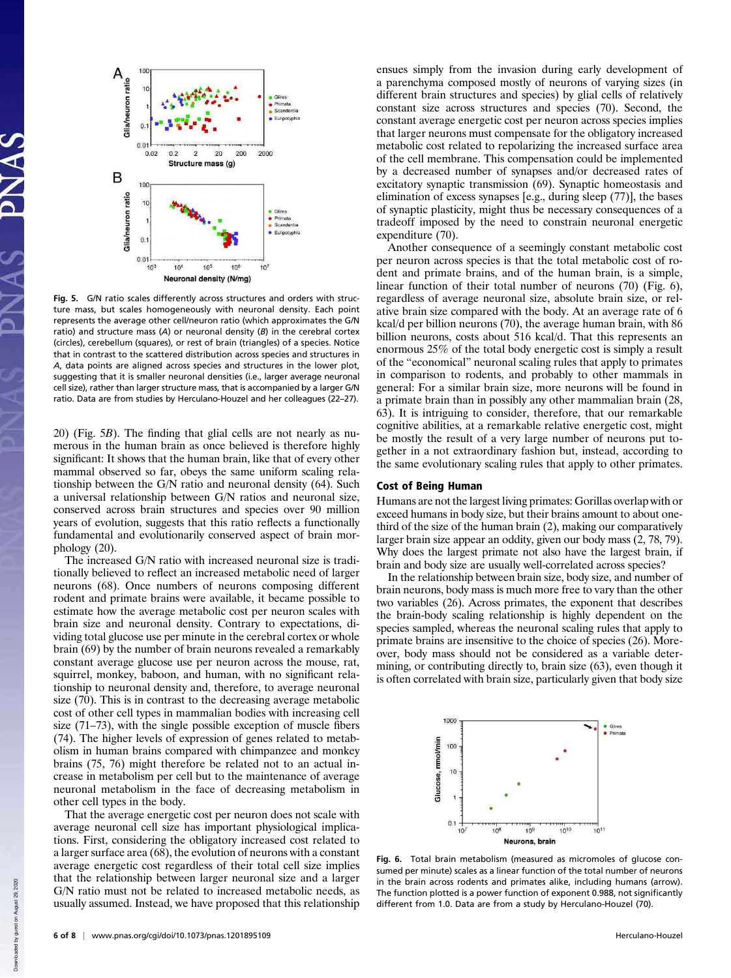

Fig. 5. G/N ratio scales differently across structures and orders with structure mass, but scales homogeneously with neuronal density. Each point represents the average other cell/neuron ratio (which approximates the G/N ratio) and structure mass (A) or neuronal density (B) in the cerebral cortex (circles), cerebellum (squares), or rest of brain (triangles) of a species. Notice that in contrast to the scattered distribution across species and structures in A, data points are aligned across species and structures in the lower plot, suggesting that it is smaller neuronal densities (i.e., larger average neuronal cell size), rather than larger structure mass, that is accompanied by a larger G/N ratio. Data are from studies by Herculano-Houzel and her colleagues (22–27).

20) (Fig. 5B). The finding that glial cells are not nearly as numerous in the human brain as once believed is therefore highly significant: It shows that the human brain, like that of every other mammal observed so far, obeys the same uniform scaling relationship between the G/N ratio and neuronal density (64). Such a universal relationship between G/N ratios and neuronal size, conserved across brain structures and species over 90 million years of evolution, suggests that this ratio reflects a functionally fundamental and evolutionarily conserved aspect of brain morphology (20).

The increased G/N ratio with increased neuronal size is traditionally believed to reflect an increased metabolic need of larger neurons (68). Once numbers of neurons composing different rodent and primate brains were available, it became possible to estimate how the average metabolic cost per neuron scales with brain size and neuronal density. Contrary to expectations, dividing total glucose use per minute in the cerebral cortex or whole brain (69) by the number of brain neurons revealed a remarkably constant average glucose use per neuron across the mouse, rat, squirrel, monkey, baboon, and human, with no significant relationship to neuronal density and, therefore, to average neuronal size (70). This is in contrast to the decreasing average metabolic cost of other cell types in mammalian bodies with increasing cell size (71–73), with the single possible exception of muscle fibers (74). The higher levels of expression of genes related to metabolism in human brains compared with chimpanzee and monkey brains (75, 76) might therefore be related not to an actual increase in metabolism per cell but to the maintenance of average neuronal metabolism in the face of decreasing metabolism in other cell types in the body.

That the average energetic cost per neuron does not scale with average neuronal cell size has important physiological implications. First, considering the obligatory increased cost related to a larger surface area (68), the evolution of neurons with a constant average energetic cost regardless of their total cell size implies that the relationship between larger neuronal size and a larger G/N ratio must not be related to increased metabolic needs, as usually assumed. Instead, we have proposed that this relationship ensues simply from the invasion during early development of a parenchyma composed mostly of neurons of varying sizes (in different brain structures and species) by glial cells of relatively constant size across structures and species (70). Second, the constant average energetic cost per neuron across species implies that larger neurons must compensate for the obligatory increased metabolic cost related to repolarizing the increased surface area of the cell membrane. This compensation could be implemented by a decreased number of synapses and/or decreased rates of excitatory synaptic transmission (69). Synaptic homeostasis and elimination of excess synapses [e.g., during sleep (77)], the bases of synaptic plasticity, might thus be necessary consequences of a tradeoff imposed by the need to constrain neuronal energetic expenditure (70).

Another consequence of a seemingly constant metabolic cost per neuron across species is that the total metabolic cost of rodent and primate brains, and of the human brain, is a simple, linear function of their total number of neurons (70) (Fig. 6), regardless of average neuronal size, absolute brain size, or relative brain size compared with the body. At an average rate of 6 kcal/d per billion neurons (70), the average human brain, with 86 billion neurons, costs about 516 kcal/d. That this represents an enormous 25% of the total body energetic cost is simply a result of the "economical" neuronal scaling rules that apply to primates in comparison to rodents, and probably to other mammals in general: For a similar brain size, more neurons will be found in a primate brain than in possibly any other mammalian brain (28, 63). It is intriguing to consider, therefore, that our remarkable cognitive abilities, at a remarkable relative energetic cost, might be mostly the result of a very large number of neurons put together in a not extraordinary fashion but, instead, according to the same evolutionary scaling rules that apply to other primates.

#### Cost of Being Human

Humans are not the largest living primates: Gorillas overlap with or exceed humans in body size, but their brains amount to about onethird of the size of the human brain (2), making our comparatively larger brain size appear an oddity, given our body mass (2, 78, 79). Why does the largest primate not also have the largest brain, if brain and body size are usually well-correlated across species?

In the relationship between brain size, body size, and number of brain neurons, body mass is much more free to vary than the other two variables (26). Across primates, the exponent that describes the brain-body scaling relationship is highly dependent on the species sampled, whereas the neuronal scaling rules that apply to primate brains are insensitive to the choice of species (26). Moreover, body mass should not be considered as a variable determining, or contributing directly to, brain size (63), even though it is often correlated with brain size, particularly given that body size



Fig. 6. Total brain metabolism (measured as micromoles of glucose consumed per minute) scales as a linear function of the total number of neurons in the brain across rodents and primates alike, including humans (arrow). The function plotted is a power function of exponent 0.988, not significantly different from 1.0. Data are from a study by Herculano-Houzel (70).

Down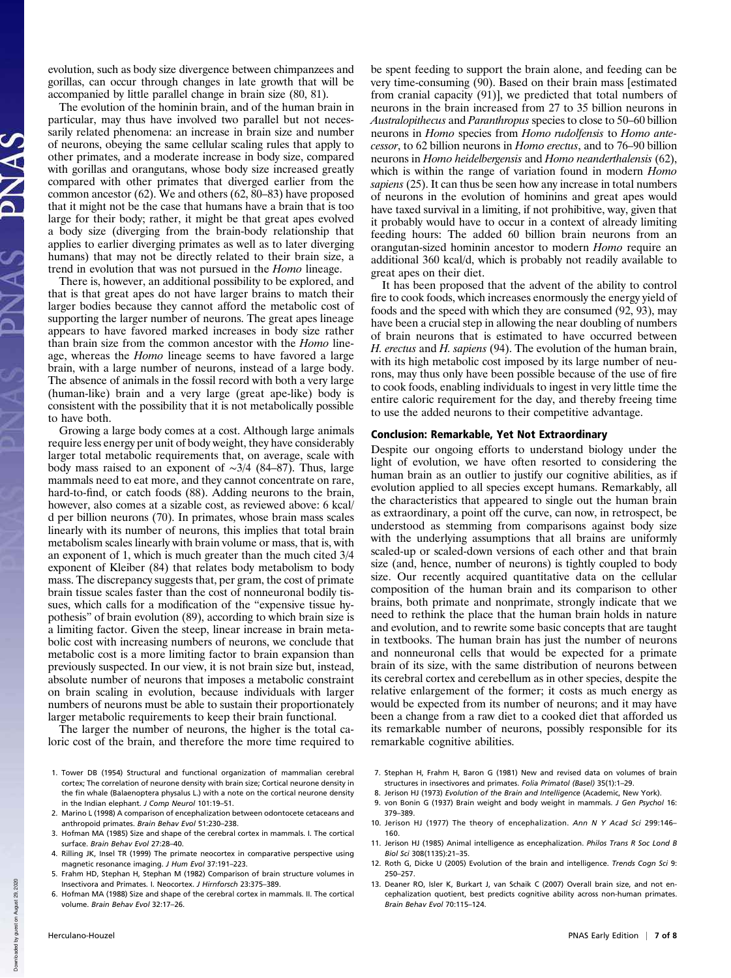evolution, such as body size divergence between chimpanzees and gorillas, can occur through changes in late growth that will be accompanied by little parallel change in brain size (80, 81).

The evolution of the hominin brain, and of the human brain in particular, may thus have involved two parallel but not necessarily related phenomena: an increase in brain size and number of neurons, obeying the same cellular scaling rules that apply to other primates, and a moderate increase in body size, compared with gorillas and orangutans, whose body size increased greatly compared with other primates that diverged earlier from the common ancestor (62). We and others (62, 80–83) have proposed that it might not be the case that humans have a brain that is too large for their body; rather, it might be that great apes evolved a body size (diverging from the brain-body relationship that applies to earlier diverging primates as well as to later diverging humans) that may not be directly related to their brain size, a trend in evolution that was not pursued in the *Homo* lineage.

There is, however, an additional possibility to be explored, and that is that great apes do not have larger brains to match their larger bodies because they cannot afford the metabolic cost of supporting the larger number of neurons. The great apes lineage appears to have favored marked increases in body size rather than brain size from the common ancestor with the *Homo* lineage, whereas the Homo lineage seems to have favored a large brain, with a large number of neurons, instead of a large body. The absence of animals in the fossil record with both a very large (human-like) brain and a very large (great ape-like) body is consistent with the possibility that it is not metabolically possible to have both.

Growing a large body comes at a cost. Although large animals require less energy per unit of body weight, they have considerably larger total metabolic requirements that, on average, scale with body mass raised to an exponent of ∼3/4 (84–87). Thus, large mammals need to eat more, and they cannot concentrate on rare, hard-to-find, or catch foods (88). Adding neurons to the brain, however, also comes at a sizable cost, as reviewed above: 6 kcal/ d per billion neurons (70). In primates, whose brain mass scales linearly with its number of neurons, this implies that total brain metabolism scales linearly with brain volume or mass, that is, with an exponent of 1, which is much greater than the much cited 3/4 exponent of Kleiber (84) that relates body metabolism to body mass. The discrepancy suggests that, per gram, the cost of primate brain tissue scales faster than the cost of nonneuronal bodily tissues, which calls for a modification of the "expensive tissue hypothesis" of brain evolution (89), according to which brain size is a limiting factor. Given the steep, linear increase in brain metabolic cost with increasing numbers of neurons, we conclude that metabolic cost is a more limiting factor to brain expansion than previously suspected. In our view, it is not brain size but, instead, absolute number of neurons that imposes a metabolic constraint on brain scaling in evolution, because individuals with larger numbers of neurons must be able to sustain their proportionately larger metabolic requirements to keep their brain functional.

The larger the number of neurons, the higher is the total caloric cost of the brain, and therefore the more time required to

- 1. Tower DB (1954) Structural and functional organization of mammalian cerebral cortex; The correlation of neurone density with brain size; Cortical neurone density in the fin whale (Balaenoptera physalus L.) with a note on the cortical neurone density in the Indian elephant. J Comp Neurol 101:19–51.
- 2. Marino L (1998) A comparison of encephalization between odontocete cetaceans and anthropoid primates. Brain Behav Evol 51:230–238.
- 3. Hofman MA (1985) Size and shape of the cerebral cortex in mammals. I. The cortical surface. Brain Behav Evol 27:28-40.
- 4. Rilling JK, Insel TR (1999) The primate neocortex in comparative perspective using magnetic resonance imaging. J Hum Evol 37:191–223.
- 5. Frahm HD, Stephan H, Stephan M (1982) Comparison of brain structure volumes in Insectivora and Primates. I. Neocortex. J Hirnforsch 23:375–389.
- 6. Hofman MA (1988) Size and shape of the cerebral cortex in mammals. II. The cortical volume. Brain Behav Evol 32:17–26.

be spent feeding to support the brain alone, and feeding can be very time-consuming (90). Based on their brain mass [estimated from cranial capacity (91)], we predicted that total numbers of neurons in the brain increased from 27 to 35 billion neurons in Australopithecus and Paranthropus species to close to 50–60 billion neurons in Homo species from Homo rudolfensis to Homo antecessor, to 62 billion neurons in Homo erectus, and to 76–90 billion neurons in Homo heidelbergensis and Homo neanderthalensis (62), which is within the range of variation found in modern *Homo* sapiens (25). It can thus be seen how any increase in total numbers of neurons in the evolution of hominins and great apes would have taxed survival in a limiting, if not prohibitive, way, given that it probably would have to occur in a context of already limiting feeding hours: The added 60 billion brain neurons from an orangutan-sized hominin ancestor to modern Homo require an additional 360 kcal/d, which is probably not readily available to great apes on their diet.

It has been proposed that the advent of the ability to control fire to cook foods, which increases enormously the energy yield of foods and the speed with which they are consumed (92, 93), may have been a crucial step in allowing the near doubling of numbers of brain neurons that is estimated to have occurred between H. erectus and H. sapiens (94). The evolution of the human brain, with its high metabolic cost imposed by its large number of neurons, may thus only have been possible because of the use of fire to cook foods, enabling individuals to ingest in very little time the entire caloric requirement for the day, and thereby freeing time to use the added neurons to their competitive advantage.

### Conclusion: Remarkable, Yet Not Extraordinary

Despite our ongoing efforts to understand biology under the light of evolution, we have often resorted to considering the human brain as an outlier to justify our cognitive abilities, as if evolution applied to all species except humans. Remarkably, all the characteristics that appeared to single out the human brain as extraordinary, a point off the curve, can now, in retrospect, be understood as stemming from comparisons against body size with the underlying assumptions that all brains are uniformly scaled-up or scaled-down versions of each other and that brain size (and, hence, number of neurons) is tightly coupled to body size. Our recently acquired quantitative data on the cellular composition of the human brain and its comparison to other brains, both primate and nonprimate, strongly indicate that we need to rethink the place that the human brain holds in nature and evolution, and to rewrite some basic concepts that are taught in textbooks. The human brain has just the number of neurons and nonneuronal cells that would be expected for a primate brain of its size, with the same distribution of neurons between its cerebral cortex and cerebellum as in other species, despite the relative enlargement of the former; it costs as much energy as would be expected from its number of neurons; and it may have been a change from a raw diet to a cooked diet that afforded us its remarkable number of neurons, possibly responsible for its remarkable cognitive abilities.

- 7. Stephan H, Frahm H, Baron G (1981) New and revised data on volumes of brain structures in insectivores and primates. Folia Primatol (Basel) 35(1):1–29.
- 8. Jerison HJ (1973) Evolution of the Brain and Intelligence (Academic, New York).
- 9. von Bonin G (1937) Brain weight and body weight in mammals. J Gen Psychol 16: 379–389.
- 10. Jerison HJ (1977) The theory of encephalization. Ann N Y Acad Sci 299:146– 160.
- 11. Jerison HJ (1985) Animal intelligence as encephalization. Philos Trans R Soc Lond B Biol Sci 308(1135):21–35.
- 12. Roth G, Dicke U (2005) Evolution of the brain and intelligence. Trends Cogn Sci 9: 250–257.
- 13. Deaner RO, Isler K, Burkart J, van Schaik C (2007) Overall brain size, and not encephalization quotient, best predicts cognitive ability across non-human primates. Brain Behav Evol 70:115–124.

Downloaded by guest on August 29, 2020 August 29.

by guest on